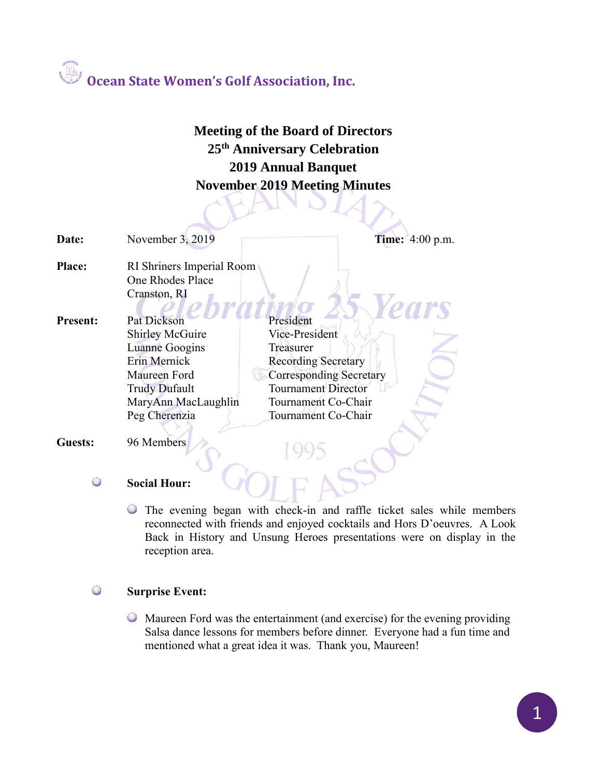### **Meeting of the Board of Directors 25th Anniversary Celebration 2019 Annual Banquet November 2019 Meeting Minutes**

| Date:           | November 3, 2019          | <b>Time:</b> 4:00 p.m.         |
|-----------------|---------------------------|--------------------------------|
| Place:          | RI Shriners Imperial Room |                                |
|                 | One Rhodes Place          |                                |
|                 | Cranston, RI              |                                |
|                 |                           | <b>ears</b>                    |
| <b>Present:</b> | <b>Pat Dickson</b>        | President                      |
|                 | <b>Shirley McGuire</b>    | Vice-President                 |
|                 | Luanne Googins            | Treasurer                      |
|                 | Erin Mernick              | <b>Recording Secretary</b>     |
|                 | Maureen Ford              | <b>Corresponding Secretary</b> |
|                 | <b>Trudy Dufault</b>      | <b>Tournament Director</b>     |
|                 | MaryAnn MacLaughlin       | Tournament Co-Chair            |
|                 | Peg Cherenzia             | Tournament Co-Chair            |
| Guests:         | 96 Members                |                                |

### $\bigcirc$ **Social Hour:**

The evening began with check-in and raffle ticket sales while members reconnected with friends and enjoyed cocktails and Hors D'oeuvres. A Look Back in History and Unsung Heroes presentations were on display in the reception area.

#### $\bigodot$ **Surprise Event:**

Maureen Ford was the entertainment (and exercise) for the evening providing Salsa dance lessons for members before dinner. Everyone had a fun time and mentioned what a great idea it was. Thank you, Maureen!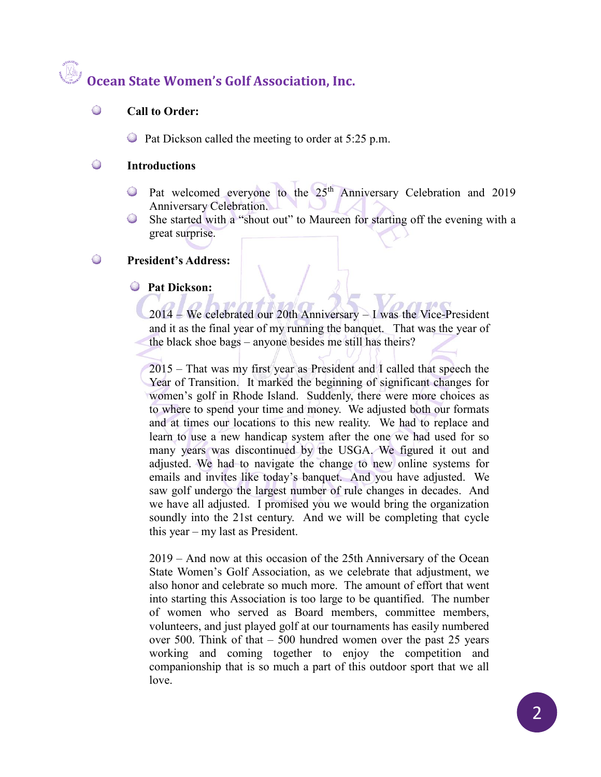#### $\bigodot$ **Call to Order:**

Pat Dickson called the meeting to order at 5:25 p.m.

#### $\bigcirc$ **Introductions**

- Pat welcomed everyone to the 25<sup>th</sup> Anniversary Celebration and 2019 Anniversary Celebration.
- She started with a "shout out" to Maureen for starting off the evening with a  $\bigcirc$ great surprise.

#### $\bigcirc$ **President's Address:**

### **Pat Dickson:**

2014 – We celebrated our 20th Anniversary – I was the Vice-President and it as the final year of my running the banquet. That was the year of the black shoe bags – anyone besides me still has theirs?

2015 – That was my first year as President and I called that speech the Year of Transition. It marked the beginning of significant changes for women's golf in Rhode Island. Suddenly, there were more choices as to where to spend your time and money. We adjusted both our formats and at times our locations to this new reality. We had to replace and learn to use a new handicap system after the one we had used for so many years was discontinued by the USGA. We figured it out and adjusted. We had to navigate the change to new online systems for emails and invites like today's banquet. And you have adjusted. We saw golf undergo the largest number of rule changes in decades. And we have all adjusted. I promised you we would bring the organization soundly into the 21st century. And we will be completing that cycle this year – my last as President.

2019 – And now at this occasion of the 25th Anniversary of the Ocean State Women's Golf Association, as we celebrate that adjustment, we also honor and celebrate so much more. The amount of effort that went into starting this Association is too large to be quantified. The number of women who served as Board members, committee members, volunteers, and just played golf at our tournaments has easily numbered over 500. Think of that – 500 hundred women over the past 25 years working and coming together to enjoy the competition and companionship that is so much a part of this outdoor sport that we all love.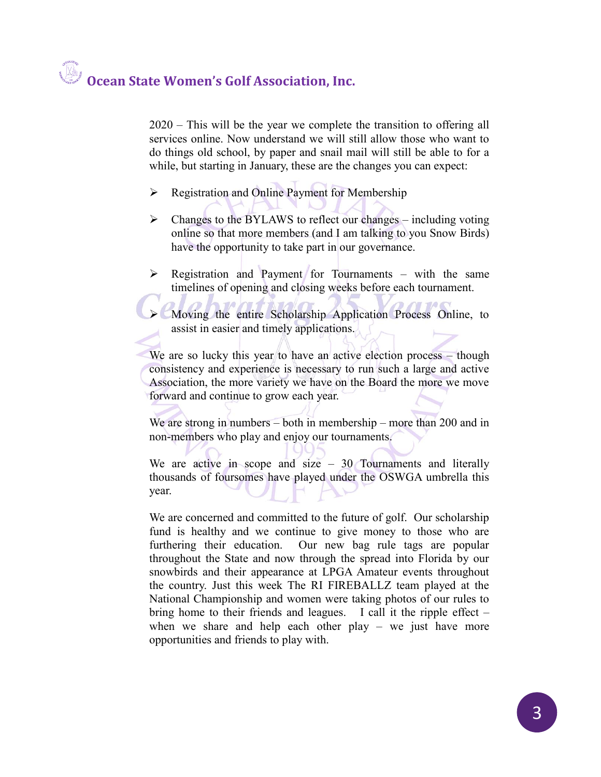2020 – This will be the year we complete the transition to offering all services online. Now understand we will still allow those who want to do things old school, by paper and snail mail will still be able to for a while, but starting in January, these are the changes you can expect:

- ➢ Registration and Online Payment for Membership
- ➢ Changes to the BYLAWS to reflect our changes including voting online so that more members (and I am talking to you Snow Birds) have the opportunity to take part in our governance.
- ➢ Registration and Payment for Tournaments with the same timelines of opening and closing weeks before each tournament.

➢ Moving the entire Scholarship Application Process Online, to assist in easier and timely applications.

We are so lucky this year to have an active election process – though consistency and experience is necessary to run such a large and active Association, the more variety we have on the Board the more we move forward and continue to grow each year.

We are strong in numbers – both in membership – more than 200 and in non-members who play and enjoy our tournaments.

We are active in scope and size  $-30$  Tournaments and literally thousands of foursomes have played under the OSWGA umbrella this year.

We are concerned and committed to the future of golf. Our scholarship fund is healthy and we continue to give money to those who are furthering their education. Our new bag rule tags are popular throughout the State and now through the spread into Florida by our snowbirds and their appearance at LPGA Amateur events throughout the country. Just this week The RI FIREBALLZ team played at the National Championship and women were taking photos of our rules to bring home to their friends and leagues. I call it the ripple effect – when we share and help each other play – we just have more opportunities and friends to play with.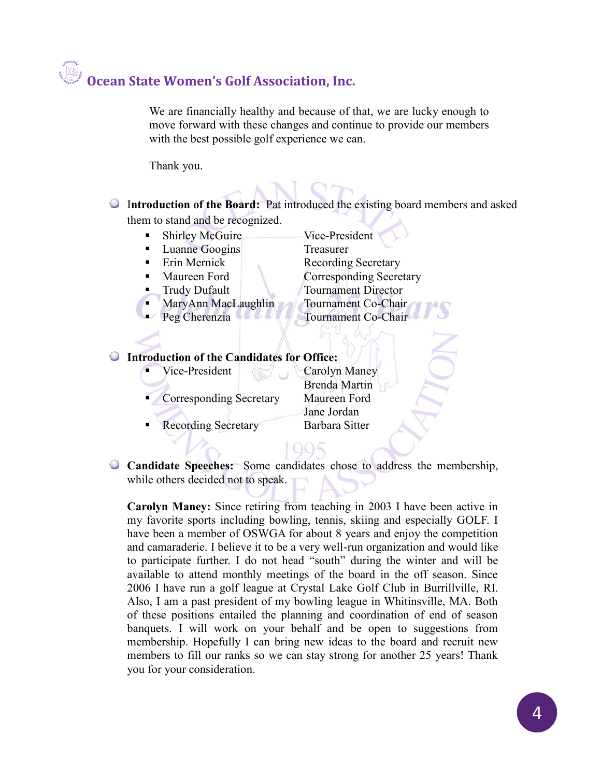We are financially healthy and because of that, we are lucky enough to move forward with these changes and continue to provide our members with the best possible golf experience we can.

Thank you.

I**ntroduction of the Board:** Pat introduced the existing board members and asked them to stand and be recognized.

- Shirley McGuire Vice-President
- Luanne Googins Treasurer
- 
- 
- 
- 
- 

Erin Mernick Recording Secretary Maureen Ford Corresponding Secretary **Trudy Dufault** Tournament Director MaryAnn MacLaughlin Tournament Co-Chair Peg Cherenzia VIII Tournament Co-Chair

### **Introduction of the Candidates for Office:**

Vice-President Carolyn Maney

Corresponding Secretary Maureen Ford

**Recording Secretary Barbara Sitter** 

Brenda Martin Jane Jordan

**Candidate Speeches:** Some candidates chose to address the membership, while others decided not to speak.

**Carolyn Maney:** Since retiring from teaching in 2003 I have been active in my favorite sports including bowling, tennis, skiing and especially GOLF. I have been a member of OSWGA for about 8 years and enjoy the competition and camaraderie. I believe it to be a very well-run organization and would like to participate further. I do not head "south" during the winter and will be available to attend monthly meetings of the board in the off season. Since 2006 I have run a golf league at Crystal Lake Golf Club in Burrillville, RI. Also, I am a past president of my bowling league in Whitinsville, MA. Both of these positions entailed the planning and coordination of end of season banquets. I will work on your behalf and be open to suggestions from membership. Hopefully I can bring new ideas to the board and recruit new members to fill our ranks so we can stay strong for another 25 years! Thank you for your consideration.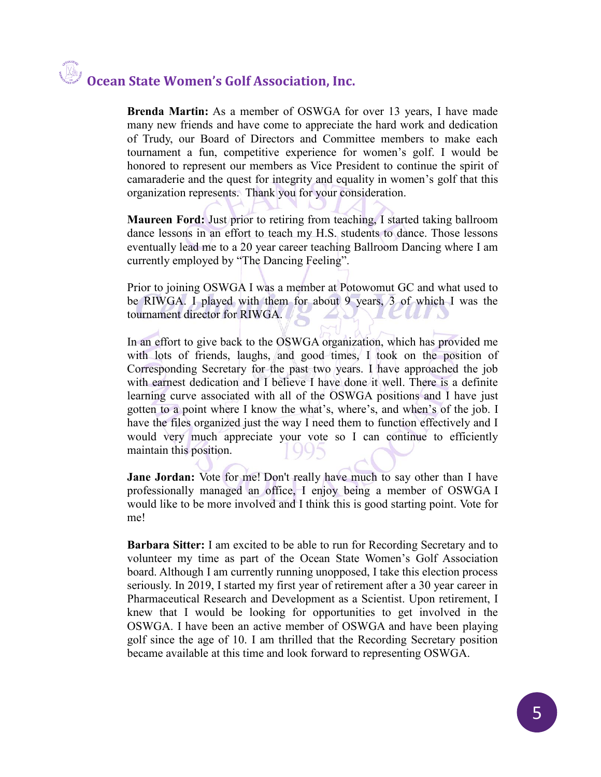**Brenda Martin:** As a member of OSWGA for over 13 years, I have made many new friends and have come to appreciate the hard work and dedication of Trudy, our Board of Directors and Committee members to make each tournament a fun, competitive experience for women's golf. I would be honored to represent our members as Vice President to continue the spirit of camaraderie and the quest for integrity and equality in women's golf that this organization represents. Thank you for your consideration.

**Maureen Ford:** Just prior to retiring from teaching, I started taking ballroom dance lessons in an effort to teach my H.S. students to dance. Those lessons eventually lead me to a 20 year career teaching Ballroom Dancing where I am currently employed by "The Dancing Feeling".

Prior to joining OSWGA I was a member at Potowomut GC and what used to be RIWGA. I played with them for about 9 years, 3 of which I was the tournament director for RIWGA. LID

In an effort to give back to the OSWGA organization, which has provided me with lots of friends, laughs, and good times, I took on the position of Corresponding Secretary for the past two years. I have approached the job with earnest dedication and I believe I have done it well. There is a definite learning curve associated with all of the OSWGA positions and I have just gotten to a point where I know the what's, where's, and when's of the job. I have the files organized just the way I need them to function effectively and I would very much appreciate your vote so I can continue to efficiently maintain this position.

**Jane Jordan:** Vote for me! Don't really have much to say other than I have professionally managed an office, I enjoy being a member of OSWGA I would like to be more involved and I think this is good starting point. Vote for me!

**Barbara Sitter:** I am excited to be able to run for Recording Secretary and to volunteer my time as part of the Ocean State Women's Golf Association board. Although I am currently running unopposed, I take this election process seriously. In 2019, I started my first year of retirement after a 30 year career in Pharmaceutical Research and Development as a Scientist. Upon retirement, I knew that I would be looking for opportunities to get involved in the OSWGA. I have been an active member of OSWGA and have been playing golf since the age of 10. I am thrilled that the Recording Secretary position became available at this time and look forward to representing OSWGA.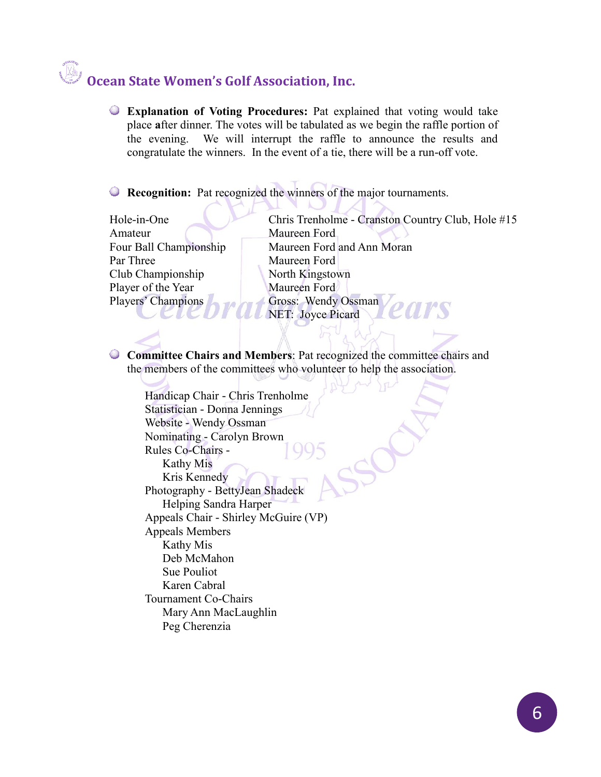**Explanation of Voting Procedures:** Pat explained that voting would take place **a**fter dinner. The votes will be tabulated as we begin the raffle portion of the evening. We will interrupt the raffle to announce the results and congratulate the winners. In the event of a tie, there will be a run-off vote.

**Recognition:** Pat recognized the winners of the major tournaments.

Amateur Maureen Ford Par Three Maureen Ford Club Championship North Kingstown Player of the Year Maureen Ford

Hole-in-One Chris Trenholme - Cranston Country Club, Hole #15 Four Ball Championship Maureen Ford and Ann Moran Players' Champions Gross: Wendy Ossman NET: Joyce Picard

**Committee Chairs and Members**: Pat recognized the committee chairs and the members of the committees who volunteer to help the association.

Handicap Chair - Chris Trenholme Statistician - Donna Jennings Website - Wendy Ossman Nominating - Carolyn Brown Rules Co-Chairs - Kathy Mis Kris Kennedy Photography - BettyJean Shadeck Helping Sandra Harper Appeals Chair - Shirley McGuire (VP) Appeals Members Kathy Mis Deb McMahon Sue Pouliot Karen Cabral Tournament Co-Chairs Mary Ann MacLaughlin Peg Cherenzia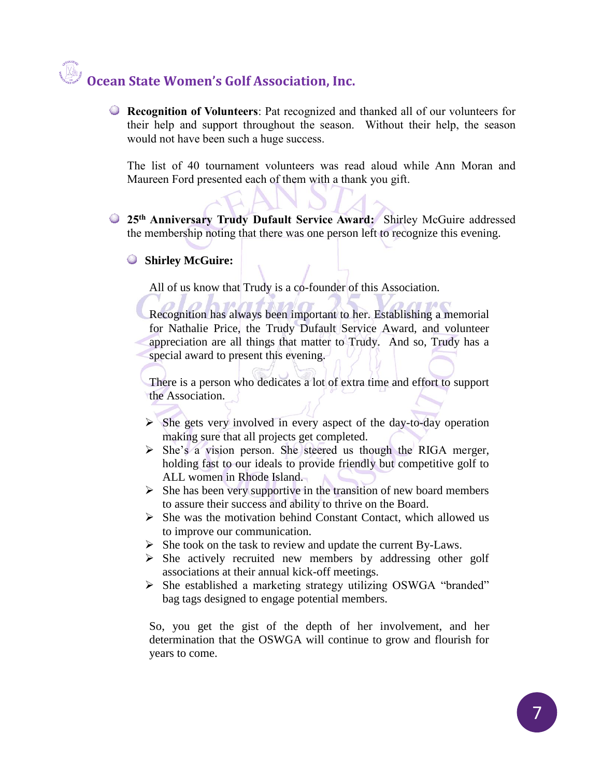**Recognition of Volunteers**: Pat recognized and thanked all of our volunteers for their help and support throughout the season. Without their help, the season would not have been such a huge success.

The list of 40 tournament volunteers was read aloud while Ann Moran and Maureen Ford presented each of them with a thank you gift.

**25th Anniversary Trudy Dufault Service Award:** Shirley McGuire addressed the membership noting that there was one person left to recognize this evening.

### **Shirley McGuire:**

All of us know that Trudy is a co-founder of this Association.

Recognition has always been important to her. Establishing a memorial for Nathalie Price, the Trudy Dufault Service Award, and volunteer appreciation are all things that matter to Trudy. And so, Trudy has a special award to present this evening.

There is a person who dedicates a lot of extra time and effort to support the Association.

- $\triangleright$  She gets very involved in every aspect of the day-to-day operation making sure that all projects get completed.
- ➢ She's a vision person. She steered us though the RIGA merger, holding fast to our ideals to provide friendly but competitive golf to ALL women in Rhode Island.
- $\triangleright$  She has been very supportive in the transition of new board members to assure their success and ability to thrive on the Board.
- $\triangleright$  She was the motivation behind Constant Contact, which allowed us to improve our communication.
- ➢ She took on the task to review and update the current By-Laws.
- ➢ She actively recruited new members by addressing other golf associations at their annual kick-off meetings.
- ➢ She established a marketing strategy utilizing OSWGA "branded" bag tags designed to engage potential members.

So, you get the gist of the depth of her involvement, and her determination that the OSWGA will continue to grow and flourish for years to come.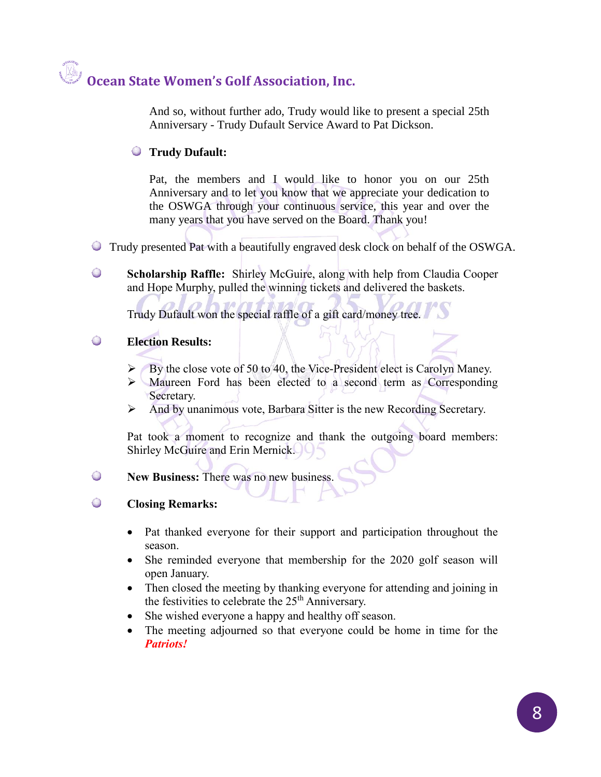And so, without further ado, Trudy would like to present a special 25th Anniversary - Trudy Dufault Service Award to Pat Dickson.

### **Trudy Dufault:**

Pat, the members and I would like to honor you on our 25th Anniversary and to let you know that we appreciate your dedication to the OSWGA through your continuous service, this year and over the many years that you have served on the Board. Thank you!

- Trudy presented Pat with a beautifully engraved desk clock on behalf of the OSWGA.
- $\bullet$ **Scholarship Raffle:** Shirley McGuire, along with help from Claudia Cooper and Hope Murphy, pulled the winning tickets and delivered the baskets.

Trudy Dufault won the special raffle of a gift card/money tree.

### $\bullet$ **Election Results:**

- ➢ By the close vote of 50 to 40, the Vice-President elect is Carolyn Maney.
- Maureen Ford has been elected to a second term as Corresponding Secretary.
- ➢ And by unanimous vote, Barbara Sitter is the new Recording Secretary.

Pat took a moment to recognize and thank the outgoing board members: Shirley McGuire and Erin Mernick.

### $\bullet$ **New Business:** There was no new business.

### $\bigcirc$ **Closing Remarks:**

- Pat thanked everyone for their support and participation throughout the season.
- She reminded everyone that membership for the 2020 golf season will open January.
- Then closed the meeting by thanking everyone for attending and joining in the festivities to celebrate the  $25<sup>th</sup>$  Anniversary.
- She wished everyone a happy and healthy off season.
- The meeting adjourned so that everyone could be home in time for the *Patriots!*